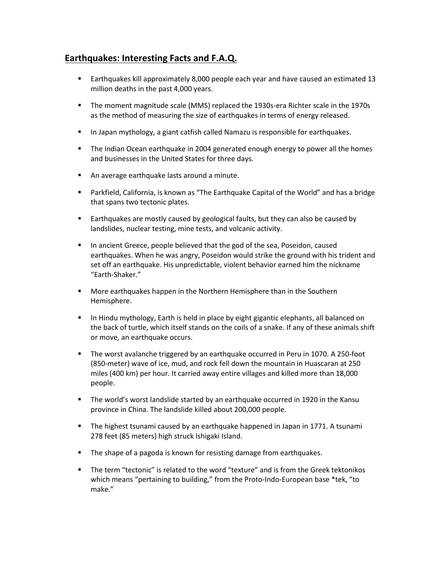# **Earthquakes: Interesting Facts and F.A.Q.**

- Earthquakes kill approximately 8,000 people each year and have caused an estimated 13 million deaths in the past 4,000 years.
- The moment magnitude scale (MMS) replaced the 1930s-era Richter scale in the 1970s as the method of measuring the size of earthquakes in terms of energy released.
- In Japan mythology, a giant catfish called Namazu is responsible for earthquakes.
- **The Indian Ocean earthquake in 2004 generated enough energy to power all the homes** and businesses in the United States for three days.
- **An average earthquake lasts around a minute.**
- Parkfield, California, is known as "The Earthquake Capital of the World" and has a bridge that spans two tectonic plates.
- **Earthquakes are mostly caused by geological faults, but they can also be caused by** landslides, nuclear testing, mine tests, and volcanic activity.
- In ancient Greece, people believed that the god of the sea, Poseidon, caused earthquakes. When he was angry, Poseidon would strike the ground with his trident and set off an earthquake. His unpredictable, violent behavior earned him the nickname "Earth-Shaker."
- More earthquakes happen in the Northern Hemisphere than in the Southern Hemisphere.
- In Hindu mythology, Earth is held in place by eight gigantic elephants, all balanced on the back of turtle, which itself stands on the coils of a snake. If any of these animals shift or move, an earthquake occurs.
- The worst avalanche triggered by an earthquake occurred in Peru in 1070. A 250-foot (850-meter) wave of ice, mud, and rock fell down the mountain in Huascaran at 250 miles (400 km) per hour. It carried away entire villages and killed more than 18,000 people.
- The world's worst landslide started by an earthquake occurred in 1920 in the Kansu province in China. The landslide killed about 200,000 people.
- **The highest tsunami caused by an earthquake happened in Japan in 1771. A tsunami** 278 feet (85 meters) high struck Ishigaki Island.
- **The shape of a pagoda is known for resisting damage from earthquakes.**
- The term "tectonic" is related to the word "texture" and is from the Greek tektonikos which means "pertaining to building," from the Proto-Indo-European base \*tek, "to make."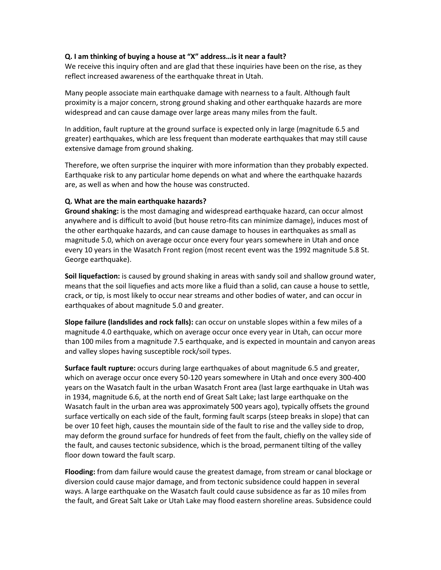## **Q. I am thinking of buying a house at "X" address…is it near a fault?**

We receive this inquiry often and are glad that these inquiries have been on the rise, as they reflect increased awareness of the earthquake threat in Utah.

Many people associate main earthquake damage with nearness to a fault. Although fault proximity is a major concern, strong ground shaking and other earthquake hazards are more widespread and can cause damage over large areas many miles from the fault.

In addition, fault rupture at the ground surface is expected only in large (magnitude 6.5 and greater) earthquakes, which are less frequent than moderate earthquakes that may still cause extensive damage from ground shaking.

Therefore, we often surprise the inquirer with more information than they probably expected. Earthquake risk to any particular home depends on what and where the earthquake hazards are, as well as when and how the house was constructed.

## **Q. What are the main earthquake hazards?**

**Ground shaking:** is the most damaging and widespread earthquake hazard, can occur almost anywhere and is difficult to avoid (but house retro-fits can minimize damage), induces most of the other earthquake hazards, and can cause damage to houses in earthquakes as small as magnitude 5.0, which on average occur once every four years somewhere in Utah and once every 10 years in the Wasatch Front region (most recent event was the 1992 magnitude 5.8 St. George earthquake).

**Soil liquefaction:** is caused by ground shaking in areas with sandy soil and shallow ground water, means that the soil liquefies and acts more like a fluid than a solid, can cause a house to settle, crack, or tip, is most likely to occur near streams and other bodies of water, and can occur in earthquakes of about magnitude 5.0 and greater.

**Slope failure (landslides and rock falls):** can occur on unstable slopes within a few miles of a magnitude 4.0 earthquake, which on average occur once every year in Utah, can occur more than 100 miles from a magnitude 7.5 earthquake, and is expected in mountain and canyon areas and valley slopes having susceptible rock/soil types.

**Surface fault rupture:** occurs during large earthquakes of about magnitude 6.5 and greater, which on average occur once every 50-120 years somewhere in Utah and once every 300-400 years on the Wasatch fault in the urban Wasatch Front area (last large earthquake in Utah was in 1934, magnitude 6.6, at the north end of Great Salt Lake; last large earthquake on the Wasatch fault in the urban area was approximately 500 years ago), typically offsets the ground surface vertically on each side of the fault, forming fault scarps (steep breaks in slope) that can be over 10 feet high, causes the mountain side of the fault to rise and the valley side to drop, may deform the ground surface for hundreds of feet from the fault, chiefly on the valley side of the fault, and causes tectonic subsidence, which is the broad, permanent tilting of the valley floor down toward the fault scarp.

**Flooding:** from dam failure would cause the greatest damage, from stream or canal blockage or diversion could cause major damage, and from tectonic subsidence could happen in several ways. A large earthquake on the Wasatch fault could cause subsidence as far as 10 miles from the fault, and Great Salt Lake or Utah Lake may flood eastern shoreline areas. Subsidence could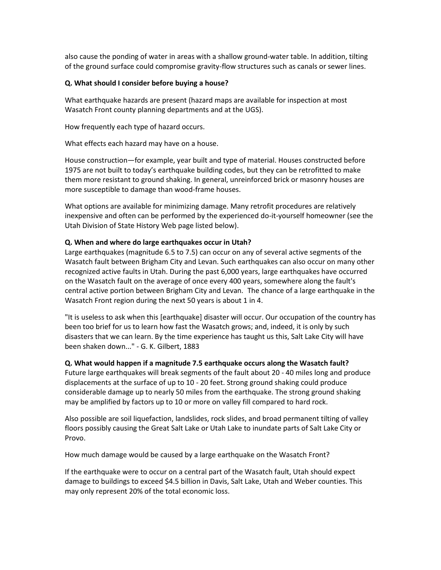also cause the ponding of water in areas with a shallow ground-water table. In addition, tilting of the ground surface could compromise gravity-flow structures such as canals or sewer lines.

### **Q. What should I consider before buying a house?**

What earthquake hazards are present (hazard maps are available for inspection at most Wasatch Front county planning departments and at the UGS).

How frequently each type of hazard occurs.

What effects each hazard may have on a house.

House construction—for example, year built and type of material. Houses constructed before 1975 are not built to today's earthquake building codes, but they can be retrofitted to make them more resistant to ground shaking. In general, unreinforced brick or masonry houses are more susceptible to damage than wood-frame houses.

What options are available for minimizing damage. Many retrofit procedures are relatively inexpensive and often can be performed by the experienced do-it-yourself homeowner (see the Utah Division of State History Web page listed below).

# **Q. When and where do large earthquakes occur in Utah?**

Large earthquakes (magnitude 6.5 to 7.5) can occur on any of several active segments of the Wasatch fault between Brigham City and Levan. Such earthquakes can also occur on many other recognized active faults in Utah. During the past 6,000 years, large earthquakes have occurred on the Wasatch fault on the average of once every 400 years, somewhere along the fault's central active portion between Brigham City and Levan. The chance of a large earthquake in the Wasatch Front region during the next 50 years is about 1 in 4.

"It is useless to ask when this [earthquake] disaster will occur. Our occupation of the country has been too brief for us to learn how fast the Wasatch grows; and, indeed, it is only by such disasters that we can learn. By the time experience has taught us this, Salt Lake City will have been shaken down..." - G. K. Gilbert, 1883

#### **Q. What would happen if a magnitude 7.5 earthquake occurs along the Wasatch fault?**

Future large earthquakes will break segments of the fault about 20 - 40 miles long and produce displacements at the surface of up to 10 - 20 feet. Strong ground shaking could produce considerable damage up to nearly 50 miles from the earthquake. The strong ground shaking may be amplified by factors up to 10 or more on valley fill compared to hard rock.

Also possible are soil liquefaction, landslides, rock slides, and broad permanent tilting of valley floors possibly causing the Great Salt Lake or Utah Lake to inundate parts of Salt Lake City or Provo.

How much damage would be caused by a large earthquake on the Wasatch Front?

If the earthquake were to occur on a central part of the Wasatch fault, Utah should expect damage to buildings to exceed \$4.5 billion in Davis, Salt Lake, Utah and Weber counties. This may only represent 20% of the total economic loss.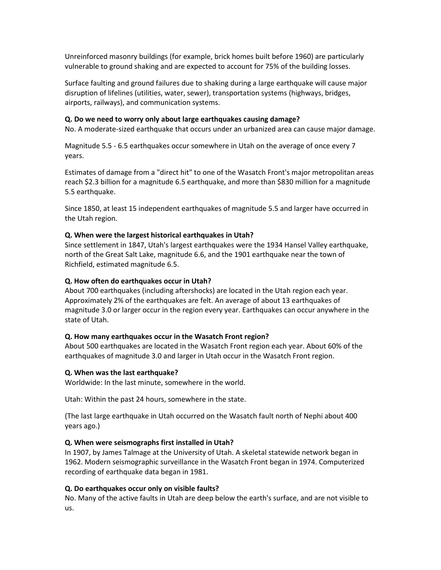Unreinforced masonry buildings (for example, brick homes built before 1960) are particularly vulnerable to ground shaking and are expected to account for 75% of the building losses.

Surface faulting and ground failures due to shaking during a large earthquake will cause major disruption of lifelines (utilities, water, sewer), transportation systems (highways, bridges, airports, railways), and communication systems.

# **Q. Do we need to worry only about large earthquakes causing damage?**

No. A moderate-sized earthquake that occurs under an urbanized area can cause major damage.

Magnitude 5.5 - 6.5 earthquakes occur somewhere in Utah on the average of once every 7 years.

Estimates of damage from a "direct hit" to one of the Wasatch Front's major metropolitan areas reach \$2.3 billion for a magnitude 6.5 earthquake, and more than \$830 million for a magnitude 5.5 earthquake.

Since 1850, at least 15 independent earthquakes of magnitude 5.5 and larger have occurred in the Utah region.

## **Q. When were the largest historical earthquakes in Utah?**

Since settlement in 1847, Utah's largest earthquakes were the 1934 Hansel Valley earthquake, north of the Great Salt Lake, magnitude 6.6, and the 1901 earthquake near the town of Richfield, estimated magnitude 6.5.

## **Q. How often do earthquakes occur in Utah?**

About 700 earthquakes (including aftershocks) are located in the Utah region each year. Approximately 2% of the earthquakes are felt. An average of about 13 earthquakes of magnitude 3.0 or larger occur in the region every year. Earthquakes can occur anywhere in the state of Utah.

#### **Q. How many earthquakes occur in the Wasatch Front region?**

About 500 earthquakes are located in the Wasatch Front region each year. About 60% of the earthquakes of magnitude 3.0 and larger in Utah occur in the Wasatch Front region.

#### **Q. When was the last earthquake?**

Worldwide: In the last minute, somewhere in the world.

Utah: Within the past 24 hours, somewhere in the state.

(The last large earthquake in Utah occurred on the Wasatch fault north of Nephi about 400 years ago.)

#### **Q. When were seismographs first installed in Utah?**

In 1907, by James Talmage at the University of Utah. A skeletal statewide network began in 1962. Modern seismographic surveillance in the Wasatch Front began in 1974. Computerized recording of earthquake data began in 1981.

#### **Q. Do earthquakes occur only on visible faults?**

No. Many of the active faults in Utah are deep below the earth's surface, and are not visible to us.